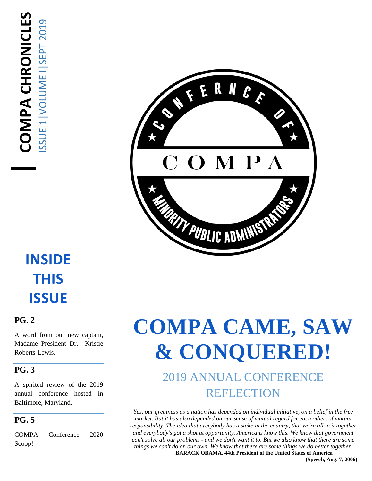

## **INSIDE THIS ISSUE**

#### **PG. 2**

A word from our new captain, Madame President Dr. Kristie Roberts-Lewis.

#### **PG. 3**

A spirited review of the 2019 annual conference hosted in Baltimore, Maryland.

#### **PG. 5**

COMPA Conference 2020 Scoop!

## **COMPA CAME, SAW & CONQUERED!**

### 2019 ANNUAL CONFERENCE REFLECTION

*Yes, our greatness as a nation has depended on individual initiative, on a belief in the free market. But it has also depended on our sense of mutual regard for each other, of mutual responsibility. The idea that everybody has a stake in the country, that we're all in it together and everybody's got a shot at opportunity. Americans know this. We know that government can't solve all our problems - and we don't want it to. But we also know that there are some things we can't do on our own. We know that there are some things we do better together.* **BARACK OBAMA, 44th President of the United States of America**

**(Speech, Aug. 7, 2006)**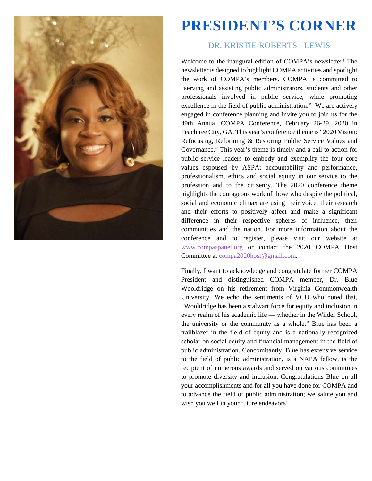

## **PRESIDENT'S CORNER**

#### DR. KRISTIE ROBERTS - LEWIS

Welcome to the inaugural edition of COMPA's newsletter! The newsletter is designed to highlight COMPA activities and spotlight the work of COMPA's members. COMPA is committed to "serving and assisting public administrators, students and other professionals involved in public service, while promoting excellence in the field of public administration." We are actively engaged in conference planning and invite you to join us for the 49th Annual COMPA Conference, February 26-29, 2020 in Peachtree City, GA. This year's conference theme is "2020 Vision: Refocusing, Reforming & Restoring Public Service Values and Governance." This year's theme is timely and a call to action for public service leaders to embody and exemplify the four core values espoused by ASPA; accountability and performance, professionalism, ethics and social equity in our service to the profession and to the citizenry. The 2020 conference theme highlights the courageous work of those who despite the political, social and economic climax are using their voice, their research and their efforts to positively affect and make a significant difference in their respective spheres of influence, their communities and the nation. For more information about the conference and to register, please visit our website at [www.compaspanet.org](http://www.compaspanet.org/) or contact the 2020 COMPA Host Committee at [compa2020host@gmail.com.](mailto:compa2020host@gmail.com)

Finally, I want to acknowledge and congratulate former COMPA President and distinguished COMPA member, Dr. Blue Wooldridge on his retirement from Virginia Commonwealth University. We echo the sentiments of VCU who noted that, "Wooldridge has been a stalwart force for equity and inclusion in every realm of his academic life — whether in the Wilder School, the university or the community as a whole." Blue has been a trailblazer in the field of equity and is a nationally recognized scholar on social equity and financial management in the field of public administration. Concomitantly, Blue has extensive service to the field of public administration, is a NAPA fellow, is the recipient of numerous awards and served on various committees to promote diversity and inclusion. Congratulations Blue on all your accomplishments and for all you have done for COMPA and to advance the field of public administration; we salute you and wish you well in your future endeavors!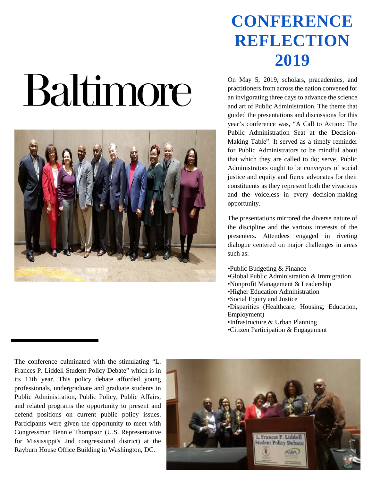# Baltimore



## **CONFERENCE REFLECTION 2019**

On May 5, 2019, scholars, pracademics, and practitioners from across the nation convened for an invigorating three days to advance the science and art of Public Administration. The theme that guided the presentations and discussions for this year's conference was, "A Call to Action: The Public Administration Seat at the Decision-Making Table". It served as a timely reminder for Public Administrators to be mindful about that which they are called to do; serve. Public Administrators ought to be conveyors of social justice and equity and fierce advocates for their constituents as they represent both the vivacious and the voiceless in every decision-making opportunity.

The presentations mirrored the diverse nature of the discipline and the various interests of the presenters. Attendees engaged in riveting dialogue centered on major challenges in areas such as:

•Public Budgeting & Finance •Global Public Administration & Immigration •Nonprofit Management & Leadership •Higher Education Administration •Social Equity and Justice •Disparities (Healthcare, Housing, Education, Employment) •Infrastructure & Urban Planning •Citizen Participation & Engagement

The conference culminated with the stimulating "L. Frances P. Liddell Student Policy Debate" which is in its 11th year. This policy debate afforded young professionals, undergraduate and graduate students in Public Administration, Public Policy, Public Affairs, and related programs the opportunity to present and defend positions on current public policy issues. Participants were given the opportunity to meet with Congressman Bennie Thompson (U.S. Representative for Mississippi's 2nd congressional district) at the Rayburn House Office Building in Washington, DC.

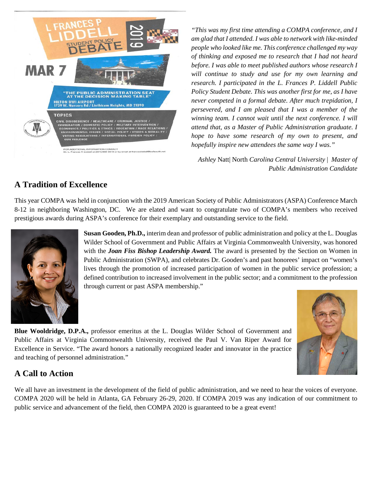

*"This was my first time attending a COMPA conference, and I am glad that I attended. I was able to network with like-minded people who looked like me. This conference challenged my way of thinking and exposed me to research that I had not heard before. I was able to meet published authors whose research I will continue to study and use for my own learning and research. I participated in the L. Frances P. Liddell Public Policy Student Debate. This was another first for me, as I have never competed in a formal debate. After much trepidation, I persevered, and I am pleased that I was a member of the winning team. I cannot wait until the next conference. I will attend that, as a Master of Public Administration graduate. I hope to have some research of my own to present, and hopefully inspire new attendees the same way I was."*

*Ashley* Natt| North *Carolina Central University* | *Master of Public Administration Candidate*

#### **A Tradition of Excellence**

This year COMPA was held in conjunction with the 2019 American Society of Public Administrators (ASPA) Conference March 8-12 in neighboring Washington, DC. We are elated and want to congratulate two of COMPA's members who received prestigious awards during ASPA's conference for their exemplary and outstanding service to the field.



**Susan Gooden, Ph.D.,** interim dean and professor of public administration and policy at the L. Douglas Wilder School of Government and Public Affairs at Virginia Commonwealth University, was honored with the *Joan Fiss Bishop Leadership Award.* The award is presented by the Section on Women in Public Administration (SWPA), and celebrates Dr. Gooden's and past honorees' impact on "women's lives through the promotion of increased participation of women in the public service profession; a defined contribution to increased involvement in the public sector; and a commitment to the profession through current or past ASPA membership."



**Blue Wooldridge, D.P.A.,** professor emeritus at the L. Douglas Wilder School of Government and Public Affairs at Virginia Commonwealth University, received the Paul V. Van Riper Award for Excellence in Service. "The award honors a nationally recognized leader and innovator in the practice and teaching of personnel administration."

#### **A Call to Action**

We all have an investment in the development of the field of public administration, and we need to hear the voices of everyone. COMPA 2020 will be held in Atlanta, GA February 26-29, 2020. If COMPA 2019 was any indication of our commitment to public service and advancement of the field, then COMPA 2020 is guaranteed to be a great event!